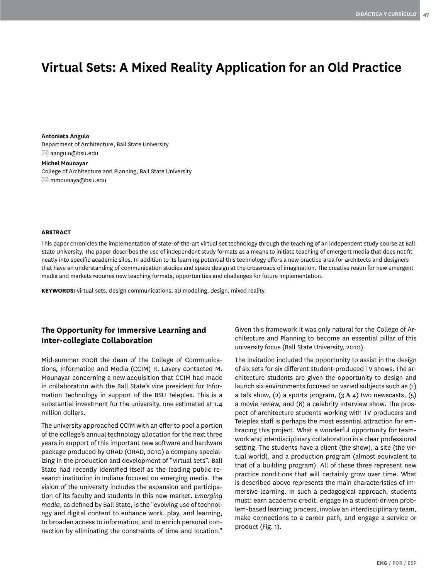# **Virtual Sets: A Mixed Reality Application for an Old Practice**

**Antonieta Angulo** Department of Architecture, Ball State University  $\boxtimes$  aangulo@bsu.edu

**Michel Mounayar** College of Architecture and Planning, Ball State University mmounaya@bsu.edu

#### **ABSTRACT**

This paper chronicles the implementation of state-of-the-art virtual set technology through the teaching of an independent study course at Ball State University. The paper describes the use of independent study formats as a means to initiate teaching of emergent media that does not fit neatly into specific academic silos. In addition to its learning potential this technology offers a new practice area for architects and designers that have an understanding of communication studies and space design at the crossroads of imagination. The creative realm for new emergent media and markets requires new teaching formats, opportunities and challenges for future implementation.

**KEYWORDS:** virtual sets, design communications, 3D modeling, design, mixed reality.

# **The Opportunity for Immersive Learning and Inter-collegiate Collaboration**

Mid-summer 2008 the dean of the College of Communications, Information and Media (CCIM) R. Lavery contacted M. Mounayar concerning a new acquisition that CCIM had made in collaboration with the Ball State's vice president for Information Technology in support of the BSU Teleplex. This is a substantial investment for the university, one estimated at 1.4 million dollars.

The university approached CCIM with an offer to pool a portion of the college's annual technology allocation for the next three years in support of this important new software and hardware package produced by ORAD (ORAD, 2010) a company specializing in the production and development of "virtual sets". Ball State had recently identified itself as the leading public research institution in Indiana focused on emerging media. The vision of the university includes the expansion and participation of its faculty and students in this new market. *Emerging media*, as defined by Ball State, is the "evolving use of technology and digital content to enhance work, play, and learning, to broaden access to information, and to enrich personal connection by eliminating the constraints of time and location."

Given this framework it was only natural for the College of Architecture and Planning to become an essential pillar of this university focus (Ball State University, 2010).

The invitation included the opportunity to assist in the design of six sets for six different student-produced TV shows. The architecture students are given the opportunity to design and launch six environments focused on varied subjects such as (1) a talk show, (2) a sports program,  $(3 \& 4)$  two newscasts,  $(5)$ a movie review, and (6) a celebrity interview show. The prospect of architecture students working with TV producers and Teleplex staff is perhaps the most essential attraction for embracing this project. What a wonderful opportunity for teamwork and interdisciplinary collaboration in a clear professional setting. The students have a client (the show), a site (the virtual world), and a production program (almost equivalent to that of a building program). All of these three represent new practice conditions that will certainly grow over time. What is described above represents the main characteristics of immersive learning. In such a pedagogical approach, students must: earn academic credit, engage in a student-driven problem-based learning process, involve an interdisciplinary team, make connections to a career path, and engage a service or product (Fig. 1).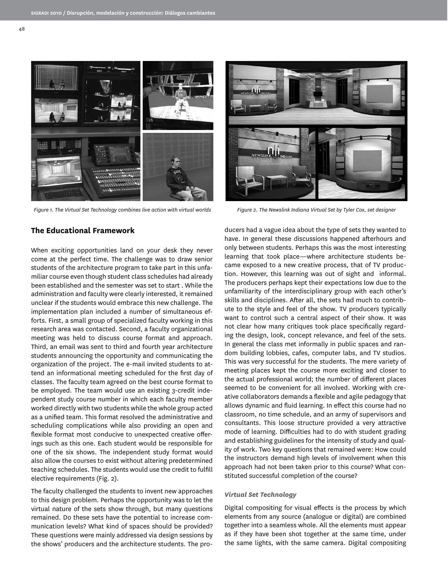

*Figure 1. The Virtual Set Technology combines live action with virtual worlds Figure 2. The Newslink Indiana Virtual Set by Tyler Cox, set designer*

### **The Educational Framework**

When exciting opportunities land on your desk they never come at the perfect time. The challenge was to draw senior students of the architecture program to take part in this unfamiliar course even though student class schedules had already been established and the semester was set to start . While the administration and faculty were clearly interested, it remained unclear if the students would embrace this new challenge. The implementation plan included a number of simultaneous efforts. First, a small group of specialized faculty working in this research area was contacted. Second, a faculty organizational meeting was held to discuss course format and approach. Third, an email was sent to third and fourth year architecture students announcing the opportunity and communicating the organization of the project. The e-mail invited students to attend an informational meeting scheduled for the first day of classes. The faculty team agreed on the best course format to be employed. The team would use an existing 3-credit independent study course number in which each faculty member worked directly with two students while the whole group acted as a unified team. This format resolved the administrative and scheduling complications while also providing an open and flexible format most conducive to unexpected creative offerings such as this one. Each student would be responsible for one of the six shows. The independent study format would also allow the courses to exist without altering predetermined teaching schedules. The students would use the credit to fulfill elective requirements (Fig. 2).

The faculty challenged the students to invent new approaches to this design problem. Perhaps the opportunity was to let the virtual nature of the sets show through, but many questions remained. Do these sets have the potential to increase communication levels? What kind of spaces should be provided? These questions were mainly addressed via design sessions by the shows' producers and the architecture students. The pro-



ducers had a vague idea about the type of sets they wanted to have. In general these discussions happened afterhours and only between students. Perhaps this was the most interesting learning that took place—where architecture students became exposed to a new creative process, that of TV production. However, this learning was out of sight and informal. The producers perhaps kept their expectations low due to the unfamiliarity of the interdisciplinary group with each other's skills and disciplines. After all, the sets had much to contribute to the style and feel of the show. TV producers typically want to control such a central aspect of their show. It was not clear how many critiques took place specifically regarding the design, look, concept relevance, and feel of the sets. In general the class met informally in public spaces and random building lobbies, cafes, computer labs, and TV studios. This was very successful for the students. The mere variety of meeting places kept the course more exciting and closer to the actual professional world; the number of different places seemed to be convenient for all involved. Working with creative collaborators demands a flexible and agile pedagogy that allows dynamic and fluid learning. In effect this course had no classroom, no time schedule, and an army of supervisors and consultants. This loose structure provided a very attractive mode of learning. Difficulties had to do with student grading and establishing guidelines for the intensity of study and quality of work. Two key questions that remained were: How could the instructors demand high levels of involvement when this approach had not been taken prior to this course? What constituted successful completion of the course?

#### *Virtual Set Technology*

Digital compositing for visual effects is the process by which elements from any source (analogue or digital) are combined together into a seamless whole. All the elements must appear as if they have been shot together at the same time, under the same lights, with the same camera. Digital compositing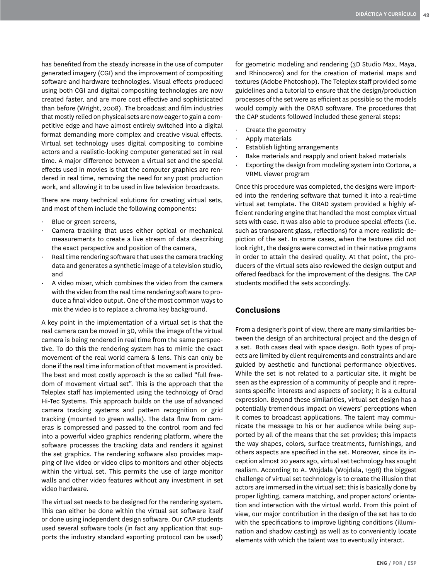has benefited from the steady increase in the use of computer generated imagery (CGI) and the improvement of compositing software and hardware technologies. Visual effects produced using both CGI and digital compositing technologies are now created faster, and are more cost effective and sophisticated than before (Wright, 2008). The broadcast and film industries that mostly relied on physical sets are now eager to gain a competitive edge and have almost entirely switched into a digital format demanding more complex and creative visual effects. Virtual set technology uses digital compositing to combine actors and a realistic-looking computer generated set in real time. A major difference between a virtual set and the special effects used in movies is that the computer graphics are rendered in real time, removing the need for any post production work, and allowing it to be used in live television broadcasts.

There are many technical solutions for creating virtual sets, and most of them include the following components:

- Blue or green screens,
- Camera tracking that uses either optical or mechanical measurements to create a live stream of data describing the exact perspective and position of the camera,
- Real time rendering software that uses the camera tracking data and generates a synthetic image of a television studio, and
- A video mixer, which combines the video from the camera with the video from the real time rendering software to produce a final video output. One of the most common ways to mix the video is to replace a chroma key background.

A key point in the implementation of a virtual set is that the real camera can be moved in 3D, while the image of the virtual camera is being rendered in real time from the same perspective. To do this the rendering system has to mimic the exact movement of the real world camera & lens. This can only be done if the real time information of that movement is provided. The best and most costly approach is the so called "full freedom of movement virtual set". This is the approach that the Teleplex staff has implemented using the technology of Orad Hi-Tec Systems. This approach builds on the use of advanced camera tracking systems and pattern recognition or grid tracking (mounted to green walls). The data flow from cameras is compressed and passed to the control room and fed into a powerful video graphics rendering platform, where the software processes the tracking data and renders it against the set graphics. The rendering software also provides mapping of live video or video clips to monitors and other objects within the virtual set. This permits the use of large monitor walls and other video features without any investment in set video hardware.

The virtual set needs to be designed for the rendering system. This can either be done within the virtual set software itself or done using independent design software. Our CAP students used several software tools (in fact any application that supports the industry standard exporting protocol can be used)

for geometric modeling and rendering (3D Studio Max, Maya, and Rhinoceros) and for the creation of material maps and textures (Adobe Photoshop). The Teleplex staff provided some guidelines and a tutorial to ensure that the design/production processes of the set were as efficient as possible so the models would comply with the ORAD software. The procedures that the CAP students followed included these general steps:

- Create the geometry
- Apply materials
- Establish lighting arrangements
- Bake materials and reapply and orient baked materials
- Exporting the design from modeling system into Cortona, a VRML viewer program

Once this procedure was completed, the designs were imported into the rendering software that turned it into a real-time virtual set template. The ORAD system provided a highly efficient rendering engine that handled the most complex virtual sets with ease. It was also able to produce special effects (i.e. such as transparent glass, reflections) for a more realistic depiction of the set. In some cases, when the textures did not look right, the designs were corrected in their native programs in order to attain the desired quality. At that point, the producers of the virtual sets also reviewed the design output and offered feedback for the improvement of the designs. The CAP students modified the sets accordingly.

## **Conclusions**

From a designer's point of view, there are many similarities between the design of an architectural project and the design of a set. Both cases deal with space design. Both types of projects are limited by client requirements and constraints and are guided by aesthetic and functional performance objectives. While the set is not related to a particular site, it might be seen as the expression of a community of people and it represents specific interests and aspects of society; it is a cultural expression. Beyond these similarities, virtual set design has a potentially tremendous impact on viewers' perceptions when it comes to broadcast applications. The talent may communicate the message to his or her audience while being supported by all of the means that the set provides; this impacts the way shapes, colors, surface treatments, furnishings, and others aspects are specified in the set. Moreover, since its inception almost 20 years ago, virtual set technology has sought realism. According to A. Wojdala (Wojdala, 1998) the biggest challenge of virtual set technology is to create the illusion that actors are immersed in the virtual set; this is basically done by proper lighting, camera matching, and proper actors' orientation and interaction with the virtual world. From this point of view, our major contribution in the design of the set has to do with the specifications to improve lighting conditions (illumination and shadow casting) as well as to conveniently locate elements with which the talent was to eventually interact.